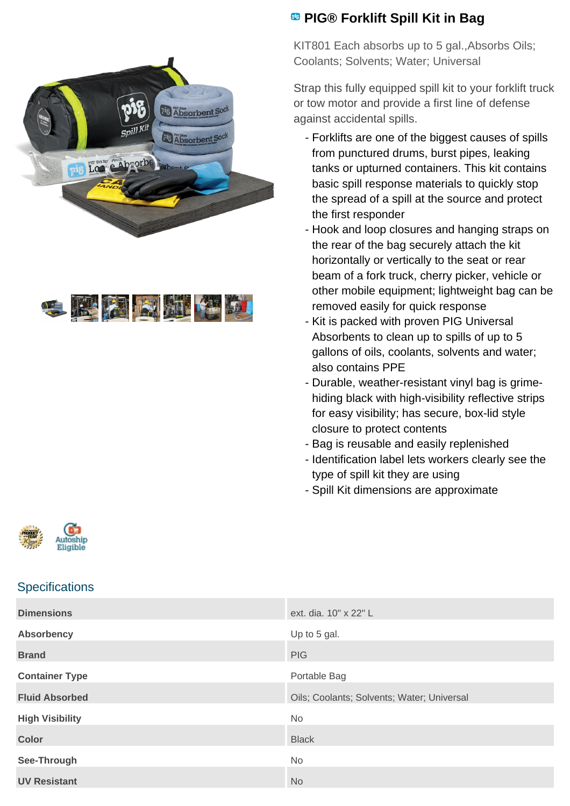



## **PIG® Forklift Spill Kit in Bag**

KIT801 Each absorbs up to 5 gal.,Absorbs Oils; Coolants; Solvents; Water; Universal

Strap this fully equipped spill kit to your forklift truck or tow motor and provide a first line of defense against accidental spills.

- Forklifts are one of the biggest causes of spills from punctured drums, burst pipes, leaking tanks or upturned containers. This kit contains basic spill response materials to quickly stop the spread of a spill at the source and protect the first responder
- Hook and loop closures and hanging straps on the rear of the bag securely attach the kit horizontally or vertically to the seat or rear beam of a fork truck, cherry picker, vehicle or other mobile equipment; lightweight bag can be removed easily for quick response
- Kit is packed with proven PIG Universal Absorbents to clean up to spills of up to 5 gallons of oils, coolants, solvents and water; also contains PPE
- Durable, weather-resistant vinyl bag is grimehiding black with high-visibility reflective strips for easy visibility; has secure, box-lid style closure to protect contents
- Bag is reusable and easily replenished
- Identification label lets workers clearly see the type of spill kit they are using
- Spill Kit dimensions are approximate



## **Specifications**

| <b>Dimensions</b>      | ext. dia. 10" x 22" L                      |
|------------------------|--------------------------------------------|
| <b>Absorbency</b>      | Up to 5 gal.                               |
| <b>Brand</b>           | <b>PIG</b>                                 |
| <b>Container Type</b>  | Portable Bag                               |
| <b>Fluid Absorbed</b>  | Oils; Coolants; Solvents; Water; Universal |
| <b>High Visibility</b> | <b>No</b>                                  |
| <b>Color</b>           | <b>Black</b>                               |
|                        | No                                         |
| See-Through            |                                            |
| <b>UV Resistant</b>    | <b>No</b>                                  |